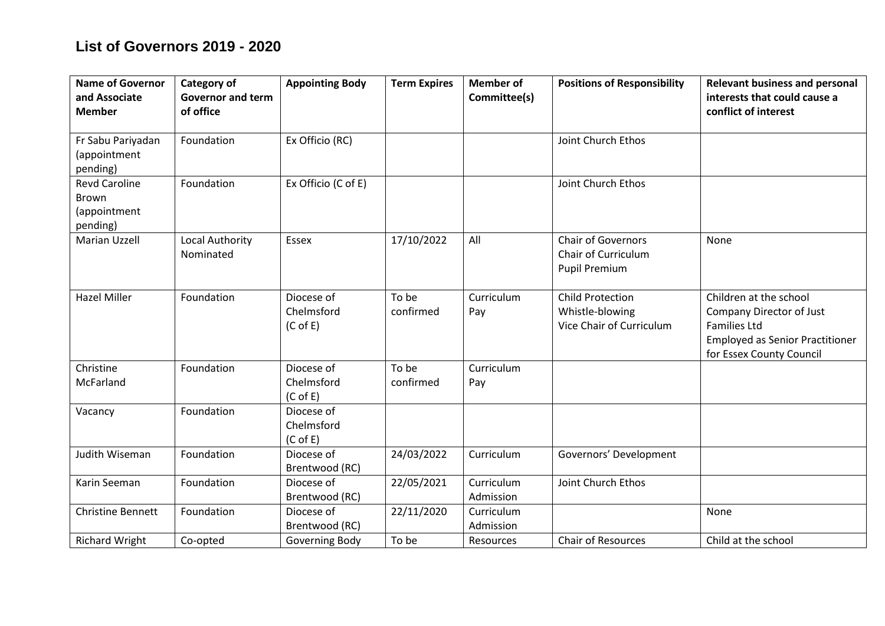## **List of Governors 2019 - 2020**

| <b>Name of Governor</b><br>and Associate<br><b>Member</b>        | Category of<br><b>Governor and term</b><br>of office | <b>Appointing Body</b>                           | <b>Term Expires</b> | <b>Member of</b><br>Committee(s) | <b>Positions of Responsibility</b>                                       | <b>Relevant business and personal</b><br>interests that could cause a<br>conflict of interest                                                   |
|------------------------------------------------------------------|------------------------------------------------------|--------------------------------------------------|---------------------|----------------------------------|--------------------------------------------------------------------------|-------------------------------------------------------------------------------------------------------------------------------------------------|
| Fr Sabu Pariyadan<br>(appointment<br>pending)                    | Foundation                                           | Ex Officio (RC)                                  |                     |                                  | Joint Church Ethos                                                       |                                                                                                                                                 |
| <b>Revd Caroline</b><br><b>Brown</b><br>(appointment<br>pending) | Foundation                                           | Ex Officio (C of E)                              |                     |                                  | Joint Church Ethos                                                       |                                                                                                                                                 |
| Marian Uzzell                                                    | Local Authority<br>Nominated                         | Essex                                            | 17/10/2022          | All                              | <b>Chair of Governors</b><br>Chair of Curriculum<br><b>Pupil Premium</b> | None                                                                                                                                            |
| <b>Hazel Miller</b>                                              | Foundation                                           | Diocese of<br>Chelmsford<br>$(C \circ F)$        | To be<br>confirmed  | Curriculum<br>Pay                | <b>Child Protection</b><br>Whistle-blowing<br>Vice Chair of Curriculum   | Children at the school<br>Company Director of Just<br><b>Families Ltd</b><br><b>Employed as Senior Practitioner</b><br>for Essex County Council |
| Christine<br>McFarland                                           | Foundation                                           | Diocese of<br>Chelmsford<br>(C <sub>of E</sub> ) | To be<br>confirmed  | Curriculum<br>Pay                |                                                                          |                                                                                                                                                 |
| Vacancy                                                          | Foundation                                           | Diocese of<br>Chelmsford<br>$(C \circ E)$        |                     |                                  |                                                                          |                                                                                                                                                 |
| Judith Wiseman                                                   | Foundation                                           | Diocese of<br>Brentwood (RC)                     | 24/03/2022          | Curriculum                       | Governors' Development                                                   |                                                                                                                                                 |
| Karin Seeman                                                     | Foundation                                           | Diocese of<br>Brentwood (RC)                     | 22/05/2021          | Curriculum<br>Admission          | Joint Church Ethos                                                       |                                                                                                                                                 |
| <b>Christine Bennett</b>                                         | Foundation                                           | Diocese of<br>Brentwood (RC)                     | 22/11/2020          | Curriculum<br>Admission          |                                                                          | None                                                                                                                                            |
| <b>Richard Wright</b>                                            | Co-opted                                             | Governing Body                                   | To be               | Resources                        | Chair of Resources                                                       | Child at the school                                                                                                                             |